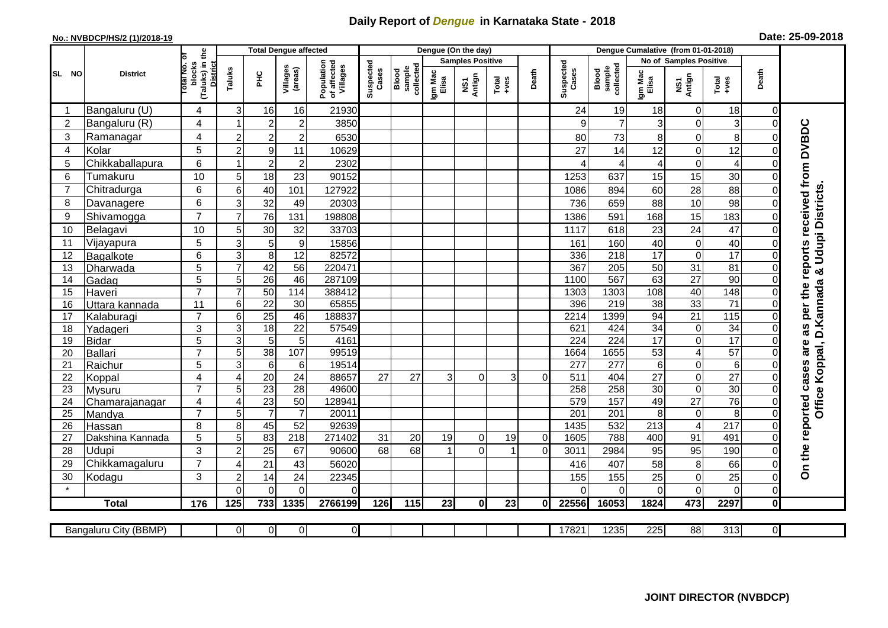## **Daily Report of** *Dengue* **in Karnataka State - 2018**

## **No.: NVBDCP/HS/2 (1)/2018-19 Date: 25-09-2018**

|                                                                                                                                                | <b>District</b>  |                                                             | <b>Total Dengue affected</b> |                 |                         |                                       |                    |                              |                         | Dengue (On the day) |                  |                |                    |                              |                        |                         |                  |             |                                        |
|------------------------------------------------------------------------------------------------------------------------------------------------|------------------|-------------------------------------------------------------|------------------------------|-----------------|-------------------------|---------------------------------------|--------------------|------------------------------|-------------------------|---------------------|------------------|----------------|--------------------|------------------------------|------------------------|-------------------------|------------------|-------------|----------------------------------------|
|                                                                                                                                                |                  |                                                             |                              |                 |                         |                                       | Suspected<br>Cases |                              | <b>Samples Positive</b> |                     |                  |                |                    |                              | No of Samples Positive |                         |                  |             |                                        |
| SL NO                                                                                                                                          |                  | (Taluks) in the<br>otal No. of<br>blocks<br><b>District</b> | Taluks                       | <b>PHC</b>      | Villages<br>(areas)     | Population<br>of affected<br>Villages |                    | sample<br>collected<br>Blood | Igm Mac<br>Elisa        | NS1<br>Antign       | $Tota$<br>$+ves$ | Death          | Suspected<br>Cases | sample<br>collected<br>Blood | Igm Mac<br>Elisa       | NS1<br>Antign           | $Tota$<br>$+ves$ | Death       |                                        |
|                                                                                                                                                | Bangaluru (U)    | 4                                                           | 3                            | 16              | 16                      | 21930                                 |                    |                              |                         |                     |                  |                | 24                 | 19                           | 18                     | 0                       | 18               | 0           |                                        |
| $\overline{2}$                                                                                                                                 | Bangaluru (R)    | 4                                                           |                              | $\overline{2}$  | $\overline{2}$          | 3850                                  |                    |                              |                         |                     |                  |                | 9                  | $\overline{7}$               | 3                      | $\mathbf 0$             | 3                | $\Omega$    |                                        |
| 3                                                                                                                                              | Ramanagar        | 4                                                           | $\overline{2}$               | $\overline{c}$  | $\overline{\mathbf{c}}$ | 6530                                  |                    |                              |                         |                     |                  |                | 80                 | 73                           | 8                      | $\mathbf 0$             | 8                | $\Omega$    | as per the reports received from DVBDC |
| 4                                                                                                                                              | Kolar            | 5                                                           | $\overline{c}$               | 9               | 11                      | 10629                                 |                    |                              |                         |                     |                  |                | 27                 | 14                           | 12                     | $\mathbf 0$             | 12               | $\Omega$    |                                        |
| 5                                                                                                                                              | Chikkaballapura  | 6                                                           |                              | $\overline{c}$  | $\mathbf 2$             | 2302                                  |                    |                              |                         |                     |                  |                |                    | 4                            | 4                      | $\mathbf 0$             | 4                | $\Omega$    |                                        |
| 6                                                                                                                                              | Tumakuru         | 10                                                          | 5                            | 18              | 23                      | 90152                                 |                    |                              |                         |                     |                  |                | 1253               | 637                          | 15                     | 15                      | 30               | 0           |                                        |
|                                                                                                                                                | Chitradurga      | $6\phantom{1}$                                              | 6                            | 40              | 101                     | 127922                                |                    |                              |                         |                     |                  |                | 1086               | 894                          | 60                     | 28                      | 88               | 0           |                                        |
| 8                                                                                                                                              | Davanagere       | 6                                                           | 3                            | 32              | 49                      | 20303                                 |                    |                              |                         |                     |                  |                | 736                | 659                          | 88                     | 10                      | 98               | $\Omega$    | Udupi Districts                        |
| 9                                                                                                                                              | Shivamogga       | $\overline{7}$                                              | $\overline{7}$               | 76              | 131                     | 198808                                |                    |                              |                         |                     |                  |                | 1386               | 591                          | 168                    | 15                      | 183              | $\Omega$    |                                        |
| 10                                                                                                                                             | Belagavi         | 10                                                          | 5                            | 30              | 32                      | 33703                                 |                    |                              |                         |                     |                  |                | 1117               | 618                          | 23                     | 24                      | 47               | $\Omega$    |                                        |
| 11                                                                                                                                             | Vijayapura       | 5                                                           | 3                            | 5               | $\boldsymbol{9}$        | 15856                                 |                    |                              |                         |                     |                  |                | 161                | 160                          | 40                     | $\mathbf 0$             | 40               | $\Omega$    |                                        |
| 12                                                                                                                                             | Bagalkote        | 6                                                           | 3                            | 8               | 12                      | 82572                                 |                    |                              |                         |                     |                  |                | 336                | $\overline{218}$             | $\overline{17}$        | $\mathbf 0$             | 17               | $\Omega$    |                                        |
| 13                                                                                                                                             | Dharwada         | $\overline{5}$                                              | $\overline{7}$               | 42              | 56                      | 220471                                |                    |                              |                         |                     |                  |                | 367                | 205                          | 50                     | 31                      | 81               | $\Omega$    |                                        |
| 14                                                                                                                                             | Gadag            | 5                                                           | 5                            | $\overline{26}$ | 46                      | 287109                                |                    |                              |                         |                     |                  |                | 1100               | 567                          | 63                     | $\overline{27}$         | 90               | $\Omega$    |                                        |
| 15                                                                                                                                             | Haveri           | $\overline{7}$                                              | $\overline{7}$               | 50              | 114                     | 388412                                |                    |                              |                         |                     |                  |                | 1303               | 1303                         | 108                    | 40                      | 148              | $\mathbf 0$ |                                        |
| 16                                                                                                                                             | Uttara kannada   | 11                                                          | 6                            | $\overline{22}$ | 30                      | 65855                                 |                    |                              |                         |                     |                  |                | 396                | 219                          | $\overline{38}$        | 33                      | $\overline{71}$  | $\Omega$    |                                        |
| 17                                                                                                                                             | Kalaburagi       | $\overline{7}$                                              | 6                            | $\overline{25}$ | 46                      | 188837                                |                    |                              |                         |                     |                  |                | 2214               | 1399                         | 94                     | $\overline{21}$         | 115              | $\Omega$    |                                        |
| 18                                                                                                                                             | Yadageri         | 3                                                           | 3                            | 18              | 22                      | 57549                                 |                    |                              |                         |                     |                  |                | 621                | 424                          | 34                     | $\boldsymbol{0}$        | 34               | ∩           |                                        |
| 19                                                                                                                                             | Bidar            | 5                                                           | 3                            | 5               | 5                       | 4161                                  |                    |                              |                         |                     |                  |                | 224                | 224                          | $\overline{17}$        | $\mathbf 0$             | 17               | $\Omega$    |                                        |
| 20                                                                                                                                             | Ballari          | $\overline{7}$                                              | 5                            | 38              | 107                     | 99519                                 |                    |                              |                         |                     |                  |                | 1664               | 1655                         | 53                     | $\overline{4}$          | 57               | $\Omega$    | Office Koppal, D.Kannada &<br>are      |
| 21                                                                                                                                             | Raichur          | $\overline{5}$                                              | $\overline{3}$               | 6               | 6                       | 19514                                 |                    |                              |                         |                     |                  |                | $\overline{277}$   | $\overline{277}$             | 6                      | $\overline{0}$          | $\overline{6}$   | $\Omega$    |                                        |
| 22                                                                                                                                             | Koppal           | $\overline{\mathbf{4}}$                                     | $\overline{4}$               | 20              | 24                      | 88657                                 | 27                 | 27                           | 3                       | $\Omega$            | 3                | $\Omega$       | 511                | 404                          | 27                     | $\mathbf 0$             | $\overline{27}$  | $\Omega$    |                                        |
| 23                                                                                                                                             | Mysuru           | $\overline{7}$                                              | 5                            | 23              | 28                      | 49600                                 |                    |                              |                         |                     |                  |                | 258                | 258                          | 30                     | $\mathbf 0$             | 30               | 0           |                                        |
| 24                                                                                                                                             | Chamarajanagar   | $\overline{4}$                                              | $\overline{4}$               | $\overline{23}$ | 50                      | 12894 <sup>-</sup>                    |                    |                              |                         |                     |                  |                | 579                | 157                          | 49                     | $\overline{27}$         | 76               | $\Omega$    |                                        |
| $\overline{25}$                                                                                                                                | Mandya           | $\overline{7}$                                              | 5                            | $\overline{7}$  | $\overline{7}$          | 20011                                 |                    |                              |                         |                     |                  |                | $\overline{201}$   | $\overline{201}$             | 8                      | $\boldsymbol{0}$        | 8                | $\Omega$    |                                        |
| 26                                                                                                                                             | Hassan           | 8                                                           | 8                            | 45              | 52                      | 92639                                 |                    |                              |                         |                     |                  |                | 1435               | 532                          | 213                    | $\overline{\mathbf{4}}$ | $\overline{217}$ | $\Omega$    |                                        |
| 27                                                                                                                                             | Dakshina Kannada | 5                                                           | 5                            | 83              | $\overline{218}$        | 271402                                | 31                 | 20                           | 19                      | $\mathbf 0$         | 19               | $\overline{0}$ | 1605               | 788                          | 400                    | 91                      | 491              | $\Omega$    |                                        |
| 28                                                                                                                                             | Udupi            | 3                                                           | $\overline{2}$               | 25              | 67                      | 90600                                 | 68                 | 68                           |                         | $\Omega$            |                  | $\Omega$       | 3011               | 2984                         | 95                     | 95                      | 190              | $\Omega$    |                                        |
| 29                                                                                                                                             | Chikkamagaluru   | $\overline{7}$                                              | ⊿                            | 21              | 43                      | 56020                                 |                    |                              |                         |                     |                  |                | 416                | 407                          | 58                     | 8                       | 66               | 0           | On the reported cases                  |
| 30                                                                                                                                             | Kodagu           | 3                                                           | $\overline{2}$               | 14              | 24                      | 22345                                 |                    |                              |                         |                     |                  |                | 155                | 155                          | 25                     | $\mathbf 0$             | 25               | $\mathbf 0$ |                                        |
|                                                                                                                                                |                  |                                                             | $\Omega$                     | $\Omega$        | $\Omega$                | 0                                     |                    |                              |                         |                     |                  |                | $\Omega$           | $\Omega$                     | $\Omega$               | $\mathbf 0$             | 0                | $\Omega$    |                                        |
|                                                                                                                                                | <b>Total</b>     | 176                                                         | 125                          | 733             | 1335                    | 2766199                               | 126                | 115                          | 23                      | 0                   | 23               | 0I             | 22556              | 16053                        | 1824                   | 473                     | 2297             | 0           |                                        |
| $\overline{0}$<br>17821<br>1235<br>225<br>88<br>313<br><b>Bangaluru City (BBMP)</b><br>$\overline{0}$<br>$\overline{0}$<br>0<br>$\overline{0}$ |                  |                                                             |                              |                 |                         |                                       |                    |                              |                         |                     |                  |                |                    |                              |                        |                         |                  |             |                                        |
|                                                                                                                                                |                  |                                                             |                              |                 |                         |                                       |                    |                              |                         |                     |                  |                |                    |                              |                        |                         |                  |             |                                        |